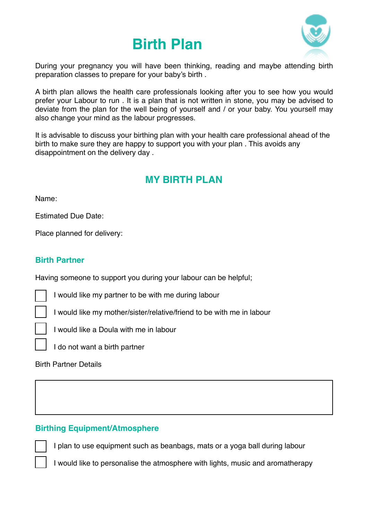# **Birth Plan**



During your pregnancy you will have been thinking, reading and maybe attending birth preparation classes to prepare for your baby's birth .

A birth plan allows the health care professionals looking after you to see how you would prefer your Labour to run . It is a plan that is not written in stone, you may be advised to deviate from the plan for the well being of yourself and / or your baby. You yourself may also change your mind as the labour progresses.

It is advisable to discuss your birthing plan with your health care professional ahead of the birth to make sure they are happy to support you with your plan . This avoids any disappointment on the delivery day .

# **MY BIRTH PLAN**

Name:

Estimated Due Date:

Place planned for delivery:

# **Birth Partner**

Having someone to support you during your labour can be helpful;

I would like my partner to be with me during labour

I would like my mother/sister/relative/friend to be with me in labour





I do not want a birth partner

Birth Partner Details

# **Birthing Equipment/Atmosphere**

I plan to use equipment such as beanbags, mats or a yoga ball during labour

I would like to personalise the atmosphere with lights, music and aromatherapy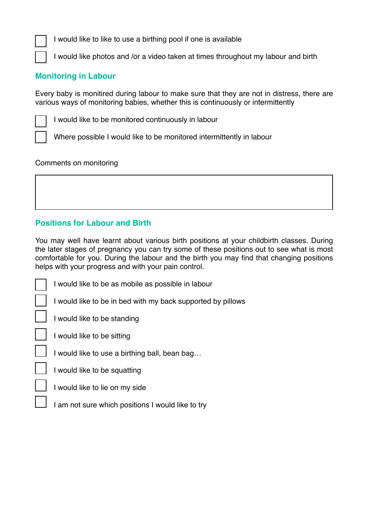I would like to like to use a birthing pool if one is available

I would like photos and /or a video taken at times throughout my labour and birth

#### **Monitoring in Labour**

Every baby is monitired during labour to make sure that they are not in distress, there are various ways of monitoring babies, whether this is continuously or intermittently

I would like to be monitored continuously in labour

Where possible I would like to be monitored intermittently in labour

Comments on monitoring

# **Positions for Labour and Birth**

You may well have learnt about various birth positions at your childbirth classes. During the later stages of pregnancy you can try some of these positions out to see what is most comfortable for you. During the labour and the birth you may find that changing positions helps with your progress and with your pain control.

I would like to be as mobile as possible in labour

I would like to be in bed with my back supported by pillows

I would like to be standing

I would like to be sitting

I would like to use a birthing ball, bean bag…

I would like to be squatting

I would like to lie on my side

I am not sure which positions I would like to try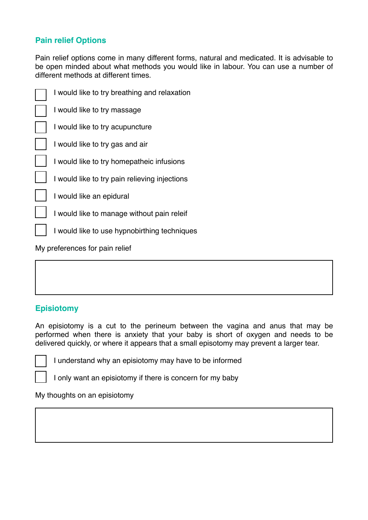# **Pain relief Options**

Pain relief options come in many different forms, natural and medicated. It is advisable to be open minded about what methods you would like in labour. You can use a number of different methods at different times.

| I would like to try breathing and relaxation  |
|-----------------------------------------------|
| I would like to try massage                   |
| I would like to try acupuncture               |
| I would like to try gas and air               |
| I would like to try homepatheic infusions     |
| I would like to try pain relieving injections |
| I would like an epidural                      |
| I would like to manage without pain releif    |
| I would like to use hypnobirthing techniques  |

My preferences for pain relief

# **Episiotomy**

An episiotomy is a cut to the perineum between the vagina and anus that may be performed when there is anxiety that your baby is short of oxygen and needs to be delivered quickly, or where it appears that a small episotomy may prevent a larger tear.

I understand why an episiotomy may have to be informed

I only want an episiotomy if there is concern for my baby

My thoughts on an episiotomy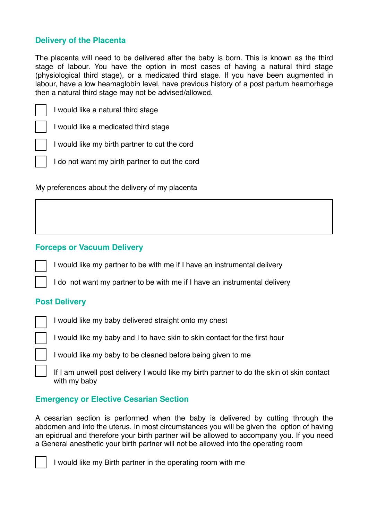#### **Delivery of the Placenta**

The placenta will need to be delivered after the baby is born. This is known as the third stage of labour. You have the option in most cases of having a natural third stage (physiological third stage), or a medicated third stage. If you have been augmented in labour, have a low heamaglobin level, have previous history of a post partum heamorhage then a natural third stage may not be advised/allowed.

I would like a medicated third stage

I would like my birth partner to cut the cord

I do not want my birth partner to cut the cord

My preferences about the delivery of my placenta

#### **Forceps or Vacuum Delivery**

I would like my partner to be with me if I have an instrumental delivery

I do not want my partner to be with me if I have an instrumental delivery

#### **Post Delivery**

I would like my baby delivered straight onto my chest

I would like my baby and I to have skin to skin contact for the first hour

I would like my baby to be cleaned before being given to me

If I am unwell post delivery I would like my birth partner to do the skin ot skin contact with my baby

#### **Emergency or Elective Cesarian Section**

A cesarian section is performed when the baby is delivered by cutting through the abdomen and into the uterus. In most circumstances you will be given the option of having an epidrual and therefore your birth partner will be allowed to accompany you. If you need a General anesthetic your birth partner will not be allowed into the operating room



I would like my Birth partner in the operating room with me